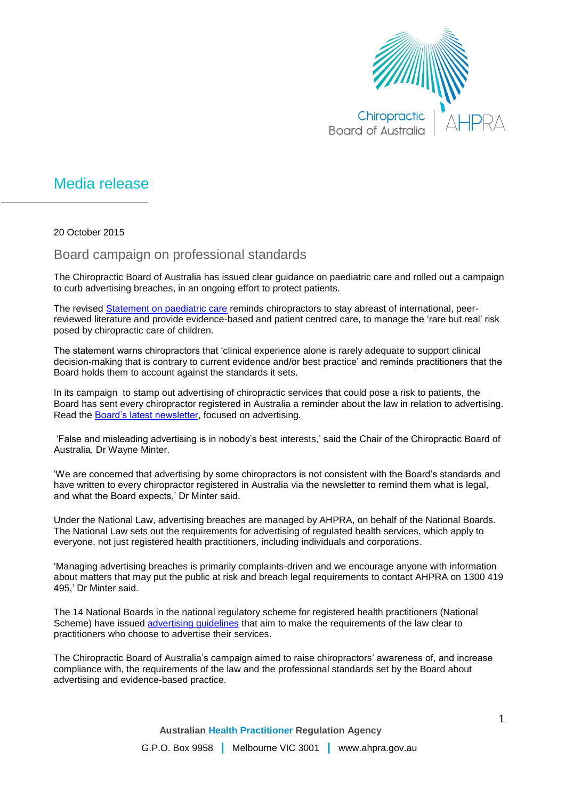

## Media release

20 October 2015

## Board campaign on professional standards

The Chiropractic Board of Australia has issued clear guidance on paediatric care and rolled out a campaign to curb advertising breaches, in an ongoing effort to protect patients.

The revised [Statement on paediatric care](http://www.chiropracticboard.gov.au/Codes-guidelines/FAQ/Position-statements/Paediatric-care.aspx) reminds chiropractors to stay abreast of international, peerreviewed literature and provide evidence-based and patient centred care, to manage the 'rare but real' risk posed by chiropractic care of children.

The statement warns chiropractors that 'clinical experience alone is rarely adequate to support clinical decision-making that is contrary to current evidence and/or best practice' and reminds practitioners that the Board holds them to account against the standards it sets.

In its campaign to stamp out advertising of chiropractic services that could pose a risk to patients, the Board has sent every chiropractor registered in Australia a reminder about the law in relation to advertising. Read the [Board's latest newsletter,](http://www.chiropracticboard.gov.au/News/Newsletters.aspx) focused on advertising.

'False and misleading advertising is in nobody's best interests,' said the Chair of the Chiropractic Board of Australia, Dr Wayne Minter.

'We are concerned that advertising by some chiropractors is not consistent with the Board's standards and have written to every chiropractor registered in Australia via the newsletter to remind them what is legal, and what the Board expects,' Dr Minter said.

Under the National Law, advertising breaches are managed by AHPRA, on behalf of the National Boards. The National Law sets out the requirements for advertising of regulated health services, which apply to everyone, not just registered health practitioners, including individuals and corporations.

'Managing advertising breaches is primarily complaints-driven and we encourage anyone with information about matters that may put the public at risk and breach legal requirements to contact AHPRA on 1300 419 495,' Dr Minter said.

The 14 National Boards in the national regulatory scheme for registered health practitioners (National Scheme) have issued [advertising guidelines](http://www.chiropracticboard.gov.au/Codes-guidelines.aspx) that aim to make the requirements of the law clear to practitioners who choose to advertise their services.

The Chiropractic Board of Australia's campaign aimed to raise chiropractors' awareness of, and increase compliance with, the requirements of the law and the professional standards set by the Board about advertising and evidence-based practice.